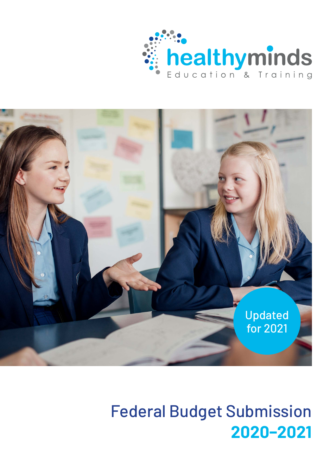



# Federal Budget Submission **2020–2021**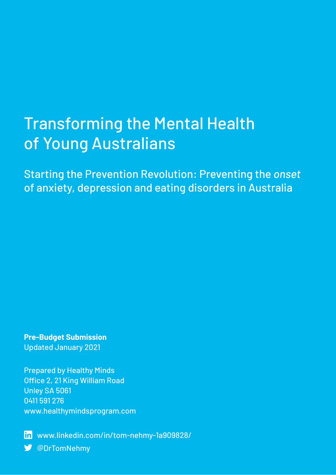# Transforming the Mental Health of Young Australians

Starting the Prevention Revolution: Preventing the *onset* of anxiety, depression and eating disorders in Australia

**Pre-Budget Submission** Updated January 2021

Prepared by Healthy Minds Office 2, 21 King William Road Unley SA 5061 0411 591 276 [www.healthymindsprogram.com](http://www.healthymindsprogram.com)

[www.linkedin.com/in/tom-nehmy-1a909828/](http://www.linkedin.com/in/tom-nehmy-1a909828/) [@DrTomNehmy](https://twitter.com/drtomnehmy) V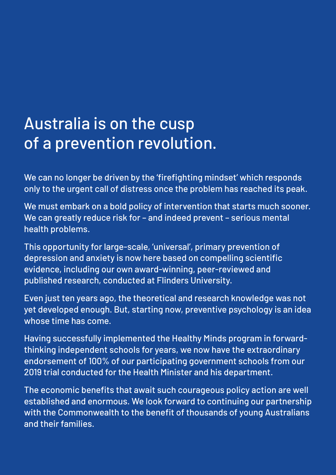# Australia is on the cusp of a prevention revolution.

We can no longer be driven by the 'firefighting mindset' which responds only to the urgent call of distress once the problem has reached its peak.

We must embark on a bold policy of intervention that starts much sooner. We can greatly reduce risk for – and indeed prevent – serious mental health problems.

This opportunity for large-scale, 'universal', primary prevention of depression and anxiety is now here based on compelling scientific evidence, including our own award-winning, peer-reviewed and published research, conducted at Flinders University.

Even just ten years ago, the theoretical and research knowledge was not yet developed enough. But, starting now, preventive psychology is an idea whose time has come.

Having successfully implemented the Healthy Minds program in forwardthinking independent schools for years, we now have the extraordinary endorsement of 100% of our participating government schools from our 2019 trial conducted for the Health Minister and his department.

The economic benefits that await such courageous policy action are well established and enormous. We look forward to continuing our partnership with the Commonwealth to the benefit of thousands of young Australians and their families.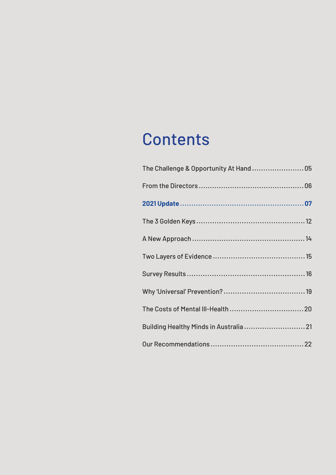# **Contents**

| The Challenge & Opportunity At Hand  05 |  |
|-----------------------------------------|--|
|                                         |  |
|                                         |  |
|                                         |  |
|                                         |  |
|                                         |  |
|                                         |  |
|                                         |  |
|                                         |  |
| Building Healthy Minds in Australia 21  |  |
|                                         |  |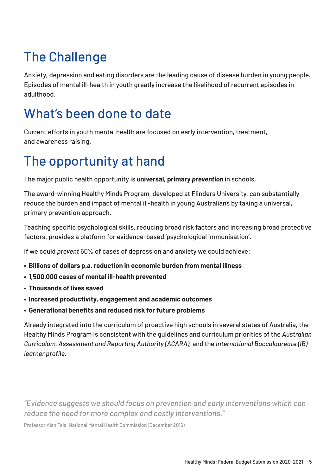# <span id="page-4-0"></span>The Challenge

Anxiety, depression and eating disorders are the leading cause of disease burden in young people. Episodes of mental ill-health in youth greatly increase the likelihood of recurrent episodes in adulthood.

### What's been done to date

Current efforts in youth mental health are focused on early intervention, treatment, and awareness raising.

### The opportunity at hand

The major public health opportunity is **universal, primary** *prevention* in schools.

The award-winning Healthy Minds Program, developed at Flinders University, can substantially reduce the burden and impact of mental ill-health in young Australians by taking a universal, primary prevention approach.

Teaching specific psychological skills, reducing broad risk factors and increasing broad protective factors, provides a platform for evidence-based 'psychological immunisation'.

If we could *prevent* 50% of cases of depression and anxiety we could achieve:

- **• Billions of dollars p.a. reduction in economic burden from mental illness**
- **• 1,500,000 cases of mental ill-health prevented**
- **• Thousands of lives saved**
- **• Increased productivity, engagement and academic outcomes**
- **• Generational benefits and reduced risk for future problems**

Already integrated into the curriculum of proactive high schools in several states of Australia, the Healthy Minds Program is consistent with the guidelines and curriculum priorities of the *Australian Curriculum, Assessment and Reporting Authority (ACARA),* and the *International Baccalaureate (IB) learner profile*.

*"Evidence suggests we should focus on prevention and early interventions which can reduce the need for more complex and costly interventions."* 

Professor Alan Fels, National Mental Health Commission (December 2016)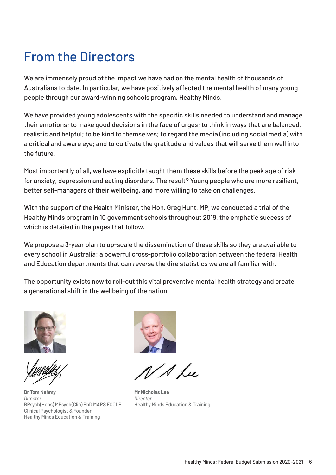### <span id="page-5-0"></span>From the Directors

We are immensely proud of the impact we have had on the mental health of thousands of Australians to date. In particular, we have positively affected the mental health of many young people through our award-winning schools program, Healthy Minds.

We have provided young adolescents with the specific skills needed to understand and manage their emotions; to make good decisions in the face of urges; to think in ways that are balanced, realistic and helpful; to be kind to themselves; to regard the media (including social media) with a critical and aware eye; and to cultivate the gratitude and values that will serve them well into the future.

Most importantly of all, we have explicitly taught them these skills before the peak age of risk for anxiety, depression and eating disorders. The result? Young people who are more resilient, better self-managers of their wellbeing, and more willing to take on challenges.

With the support of the Health Minister, the Hon. Greg Hunt, MP, we conducted a trial of the Healthy Minds program in 10 government schools throughout 2019, the emphatic success of which is detailed in the pages that follow.

We propose a 3-year plan to up-scale the dissemination of these skills so they are available to every school in Australia: a powerful cross-portfolio collaboration between the federal Health and Education departments that can *reverse* the dire statistics we are all familiar with.

The opportunity exists now to roll-out this vital preventive mental health strategy and create a generational shift in the wellbeing of the nation.



**Dr Tom Nehmy** *Director* BPsych(Hons) MPsych(Clin) PhD MAPS FCCLP Clinical Psychologist & Founder Healthy Minds Education & Training



/ A Lu

**Mr Nicholas Lee** *Director* Healthy Minds Education & Training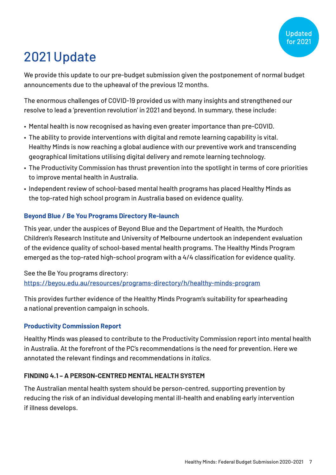# <span id="page-6-0"></span>2021 Update

We provide this update to our pre-budget submission given the postponement of normal budget announcements due to the upheaval of the previous 12 months.

The enormous challenges of COVID-19 provided us with many insights and strengthened our resolve to lead a 'prevention revolution' in 2021 and beyond. In summary, these include:

- Mental health is now recognised as having even greater importance than pre-COVID.
- The ability to provide interventions with digital and remote learning capability is vital. Healthy Minds is now reaching a global audience with our preventive work and transcending geographical limitations utilising digital delivery and remote learning technology.
- The Productivity Commission has thrust prevention into the spotlight in terms of core priorities to improve mental health in Australia.
- Independent review of school-based mental health programs has placed Healthy Minds as the top-rated high school program in Australia based on evidence quality.

#### **Beyond Blue / Be You Programs Directory Re-launch**

This year, under the auspices of Beyond Blue and the Department of Health, the Murdoch Children's Research Institute and University of Melbourne undertook an independent evaluation of the evidence quality of school-based mental health programs. The Healthy Minds Program emerged as the top-rated high-school program with a 4/4 classification for evidence quality.

#### See the Be You programs directory:

#### <https://beyou.edu.au/resources/programs-directory/h/healthy-minds-program>

This provides further evidence of the Healthy Minds Program's suitability for spearheading a national prevention campaign in schools.

#### **Productivity Commission Report**

Healthy Minds was pleased to contribute to the Productivity Commission report into mental health in Australia. At the forefront of the PC's recommendations is the need for prevention. Here we annotated the relevant findings and recommendations in *italics*.

#### **FINDING 4.1 – A PERSON-CENTRED MENTAL HEALTH SYSTEM**

The Australian mental health system should be person-centred, supporting prevention by reducing the risk of an individual developing mental ill-health and enabling early intervention if illness develops.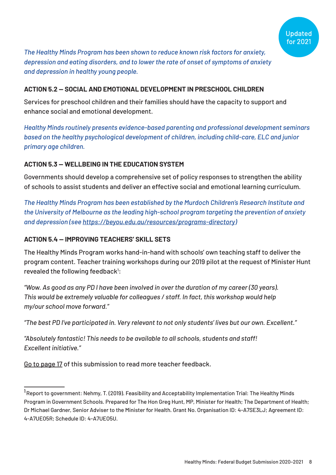

*The Healthy Minds Program has been shown to reduce known risk factors for anxiety, depression and eating disorders, and to lower the rate of onset of symptoms of anxiety and depression in healthy young people.*

#### **ACTION 5.2 — SOCIAL AND EMOTIONAL DEVELOPMENT IN PRESCHOOL CHILDREN**

Services for preschool children and their families should have the capacity to support and enhance social and emotional development.

*Healthy Minds routinely presents evidence-based parenting and professional development seminars based on the healthy psychological development of children, including child-care, ELC and junior primary age children.*

#### **ACTION 5.3 — WELLBEING IN THE EDUCATION SYSTEM**

Governments should develop a comprehensive set of policy responses to strengthen the ability of schools to assist students and deliver an effective social and emotional learning curriculum.

*The Healthy Minds Program has been established by the Murdoch Children's Research Institute and the University of Melbourne as the leading high-school program targeting the prevention of anxiety and depression (see [https://beyou.edu.au/resources/programs-directory\)](https://beyou.edu.au/resources/programs-directory)*

#### **ACTION 5.4 — IMPROVING TEACHERS' SKILL SETS**

The Healthy Minds Program works hand-in-hand with schools' own teaching staff to deliver the program content. Teacher training workshops during our 2019 pilot at the request of Minister Hunt revealed the following feedback<sup>1</sup>:

*"Wow. As good as any PD I have been involved in over the duration of my career (30 years). This would be extremely valuable for colleagues / staff. In fact, this workshop would help my/our school move forward."*

*"The best PD I've participated in. Very relevant to not only students' lives but our own. Excellent."*

*"Absolutely fantastic! This needs to be available to all schools, students and staff! Excellent initiative."*

[Go to page 17](#page-16-0) of this submission to read more teacher feedback.

<sup>1</sup>Report to government: Nehmy, T. (2019). Feasibility and Acceptability Implementation Trial: The Healthy Minds Program in Government Schools. Prepared for The Hon Greg Hunt, MP, Minister for Health; The Department of Health; Dr Michael Gardner, Senior Adviser to the Minister for Health. Grant No. Organisation ID: 4-A7SE3LJ; Agreement ID: 4-A7UEO5R; Schedule ID: 4-A7UEO5U.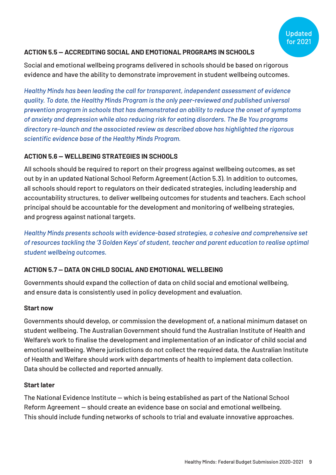#### **ACTION 5.5 — ACCREDITING SOCIAL AND EMOTIONAL PROGRAMS IN SCHOOLS**

Social and emotional wellbeing programs delivered in schools should be based on rigorous evidence and have the ability to demonstrate improvement in student wellbeing outcomes.

*Healthy Minds has been leading the call for transparent, independent assessment of evidence quality. To date, the Healthy Minds Program is the only peer-reviewed and published universal prevention program in schools that has demonstrated an ability to reduce the onset of symptoms of anxiety and depression while also reducing risk for eating disorders. The Be You programs directory re-launch and the associated review as described above has highlighted the rigorous scientific evidence base of the Healthy Minds Program.*

#### **ACTION 5.6 — WELLBEING STRATEGIES IN SCHOOLS**

All schools should be required to report on their progress against wellbeing outcomes, as set out by in an updated National School Reform Agreement (Action 5.3). In addition to outcomes, all schools should report to regulators on their dedicated strategies, including leadership and accountability structures, to deliver wellbeing outcomes for students and teachers. Each school principal should be accountable for the development and monitoring of wellbeing strategies, and progress against national targets.

*Healthy Minds presents schools with evidence-based strategies, a cohesive and comprehensive set of resources tackling the '3 Golden Keys' of student, teacher and parent education to realise optimal student wellbeing outcomes.*

#### **ACTION 5.7 — DATA ON CHILD SOCIAL AND EMOTIONAL WELLBEING**

Governments should expand the collection of data on child social and emotional wellbeing, and ensure data is consistently used in policy development and evaluation.

#### **Start now**

Governments should develop, or commission the development of, a national minimum dataset on student wellbeing. The Australian Government should fund the Australian Institute of Health and Welfare's work to finalise the development and implementation of an indicator of child social and emotional wellbeing. Where jurisdictions do not collect the required data, the Australian Institute of Health and Welfare should work with departments of health to implement data collection. Data should be collected and reported annually.

#### **Start later**

The National Evidence Institute — which is being established as part of the National School Reform Agreement — should create an evidence base on social and emotional wellbeing. This should include funding networks of schools to trial and evaluate innovative approaches.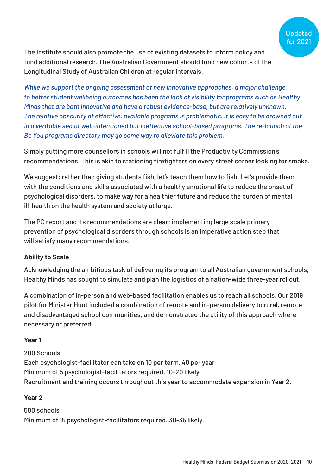

The Institute should also promote the use of existing datasets to inform policy and fund additional research. The Australian Government should fund new cohorts of the Longitudinal Study of Australian Children at regular intervals.

*While we support the ongoing assessment of new innovative approaches, a major challenge to better student wellbeing outcomes has been the lack of visibility for programs such as Healthy Minds that are both innovative and have a robust evidence-base, but are relatively unknown. The relative obscurity of effective, available programs is problematic. It is easy to be drowned out in a veritable sea of well-intentioned but ineffective school-based programs. The re-launch of the Be You programs directory may go some way to alleviate this problem.*

Simply putting more counsellors in schools will not fulfill the Productivity Commission's recommendations. This is akin to stationing firefighters on every street corner looking for smoke.

We suggest: rather than giving students fish, let's teach them how to fish. Let's provide them with the conditions and skills associated with a healthy emotional life to reduce the onset of psychological disorders, to make way for a healthier future and reduce the burden of mental ill-health on the health system and society at large.

The PC report and its recommendations are clear: implementing large scale primary prevention of psychological disorders through schools is an imperative action step that will satisfy many recommendations.

#### **Ability to Scale**

Acknowledging the ambitious task of delivering its program to all Australian government schools, Healthy Minds has sought to simulate and plan the logistics of a nation-wide three-year rollout.

A combination of in-person and web-based facilitation enables us to reach all schools. Our 2019 pilot for Minister Hunt included a combination of remote and in-person delivery to rural, remote and disadvantaged school communities, and demonstrated the utility of this approach where necessary or preferred.

#### **Year 1**

200 Schools Each psychologist-facilitator can take on 10 per term, 40 per year Minimum of 5 psychologist-facilitators required. 10-20 likely. Recruitment and training occurs throughout this year to accommodate expansion in Year 2.

#### **Year 2**

500 schools Minimum of 15 psychologist-facilitators required. 30-35 likely.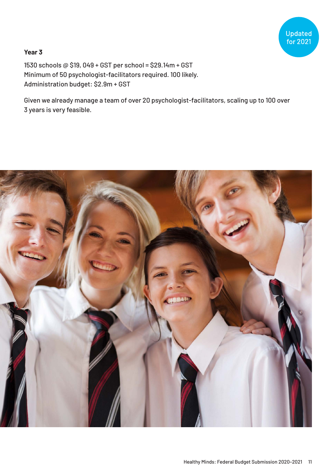# Updated<br>for 2021

#### **Year 3**

1530 schools @ \$19, 049 + GST per school = \$29.14m + GST Minimum of 50 psychologist-facilitators required. 100 likely. Administration budget: \$2.9m + GST

Given we already manage a team of over 20 psychologist-facilitators, scaling up to 100 over 3 years is very feasible.

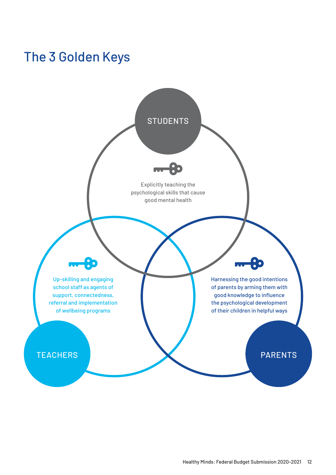### <span id="page-11-0"></span>The 3 Golden Keys

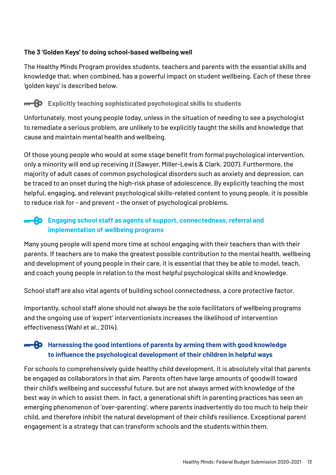#### **The 3 'Golden Keys' to doing school-based wellbeing well**

The Healthy Minds Program provides students, teachers and parents with the essential skills and knowledge that, when combined, has a powerful impact on student wellbeing. Each of these three 'golden keys' is described below.

#### **EXplicitly teaching sophisticated psychological skills to students**

Unfortunately, most young people today, unless in the situation of needing to see a psychologist to remediate a serious problem, are unlikely to be explicitly taught the skills and knowledge that cause and maintain mental health and wellbeing.

Of those young people who would at some stage benefit from formal psychological intervention, only a minority will end up receiving it (Sawyer, Miller-Lewis & Clark, 2007). Furthermore, the majority of adult cases of common psychological disorders such as anxiety and depression, can be traced to an onset during the high-risk phase of adolescence. By explicitly teaching the most helpful, engaging, and relevant psychological skills-related content to young people, it is possible to reduce risk for - and prevent – the onset of psychological problems.

#### **FREQUE Engaging school staff as agents of support, connectedness, referral and implementation of wellbeing programs**

Many young people will spend more time at school engaging with their teachers than with their parents. If teachers are to make the greatest possible contribution to the mental health, wellbeing and development of young people in their care, it is essential that they be able to model, teach, and coach young people in relation to the most helpful psychological skills and knowledge.

School staff are also vital agents of building school connectedness, a core protective factor.

Importantly, school staff alone should not always be the sole facilitators of wellbeing programs and the ongoing use of 'expert' interventionists increases the likelihood of intervention effectiveness (Wahl et al., 2014).

#### **<del><b>H**</del> B Harnessing the good intentions of parents by arming them with good knowledge **to influence the psychological development of their children in helpful ways**

For schools to comprehensively guide healthy child development, it is absolutely vital that parents be engaged as collaborators in that aim. Parents often have large amounts of goodwill toward their child's wellbeing and successful future, but are not always armed with knowledge of the best way in which to assist them. In fact, a generational shift in parenting practices has seen an emerging phenomenon of 'over-parenting', where parents inadvertently do too much to help their child, and therefore inhibit the natural development of their child's resilience. Exceptional parent engagement is a strategy that can transform schools and the students within them.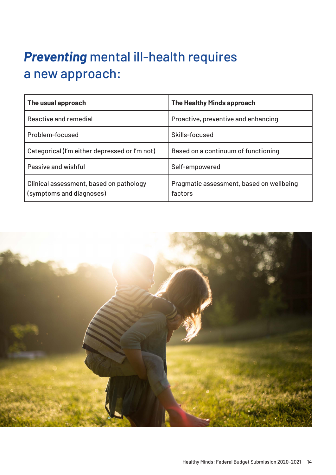# <span id="page-13-0"></span>*Preventing* mental ill-health requires a new approach:

| The usual approach                                                  | <b>The Healthy Minds approach</b>                   |  |
|---------------------------------------------------------------------|-----------------------------------------------------|--|
| Reactive and remedial                                               | Proactive, preventive and enhancing                 |  |
| Problem-focused                                                     | Skills-focused                                      |  |
| Categorical (I'm either depressed or I'm not)                       | Based on a continuum of functioning                 |  |
| Passive and wishful                                                 | Self-empowered                                      |  |
| Clinical assessment, based on pathology<br>(symptoms and diagnoses) | Pragmatic assessment, based on wellbeing<br>factors |  |

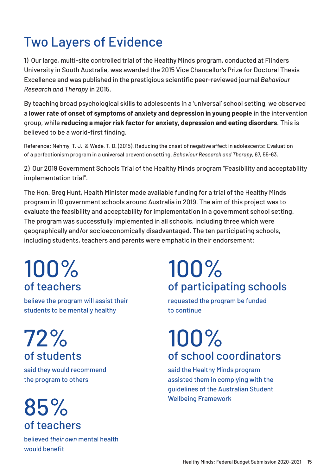### <span id="page-14-0"></span>Two Layers of Evidence

1) Our large, multi-site controlled trial of the Healthy Minds program, conducted at Flinders University in South Australia, was awarded the 2015 Vice Chancellor's Prize for Doctoral Thesis Excellence and was published in the prestigious scientific peer-reviewed journal *Behaviour Research and Therapy* in 2015.

By teaching broad psychological skills to adolescents in a 'universal' school setting, we observed a **lower rate of onset of symptoms of anxiety and depression in young people** in the intervention group, while **reducing a major risk factor for anxiety, depression and eating disorders**. This is believed to be a world-first finding.

Reference: Nehmy, T. J., & Wade, T. D. (2015). Reducing the onset of negative affect in adolescents: Evaluation of a perfectionism program in a universal prevention setting. *Behaviour Research and Therapy*, 67, 55-63.

2) Our 2019 Government Schools Trial of the Healthy Minds program "Feasibility and acceptability implementation trial".

The Hon. Greg Hunt, Health Minister made available funding for a trial of the Healthy Minds program in 10 government schools around Australia in 2019. The aim of this project was to evaluate the feasibility and acceptability for implementation in a government school setting. The program was successfully implemented in all schools, including three which were geographically and/or socioeconomically disadvantaged. The ten participating schools, including students, teachers and parents were emphatic in their endorsement:

# 100% of teachers

believe the program will assist their students to be mentally healthy

72% of students

said they would recommend the program to others

85% of teachers

believed *their own* mental health would benefit

# 100% of participating schools

requested the program be funded to continue

# 100% of school coordinators

said the Healthy Minds program assisted them in complying with the guidelines of the Australian Student Wellbeing Framework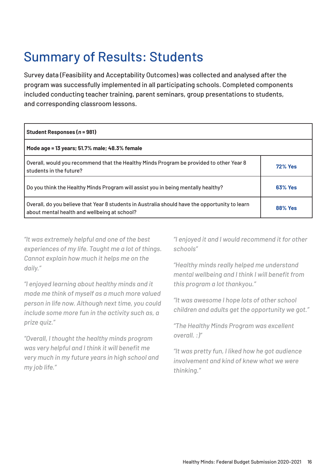### <span id="page-15-0"></span>Summary of Results: Students

Survey data (Feasibility and Acceptability Outcomes) was collected and analysed after the program was successfully implemented in all participating schools. Completed components included conducting teacher training, parent seminars, group presentations to students, and corresponding classroom lessons.

| Student Responses (n = 981)                                                                                                                    |                |
|------------------------------------------------------------------------------------------------------------------------------------------------|----------------|
| Mode age = 13 years; 51.7% male; 48.3% female                                                                                                  |                |
| Overall, would you recommend that the Healthy Minds Program be provided to other Year 8<br>students in the future?                             | <b>72% Yes</b> |
| Do you think the Healthy Minds Program will assist you in being mentally healthy?                                                              | <b>63% Yes</b> |
| Overall, do you believe that Year 8 students in Australia should have the opportunity to learn<br>about mental health and wellbeing at school? | <b>88% Yes</b> |

*"It was extremely helpful and one of the best experiences of my life. Taught me a lot of things. Cannot explain how much it helps me on the daily."*

*"I enjoyed learning about healthy minds and it made me think of myself as a much more valued person in life now. Although next time, you could include some more fun in the activity such as, a prize quiz."*

*"Overall, I thought the healthy minds program was very helpful and I think it will benefit me very much in my future years in high school and my job life."*

*"I enjoyed it and I would recommend it for other schools"*

*"Healthy minds really helped me understand mental wellbeing and I think I will benefit from this program a lot thankyou."*

*"It was awesome I hope lots of other school children and adults get the opportunity we got."*

*"The Healthy Minds Program was excellent overall. :)"*

*"It was pretty fun, I liked how he got audience involvement and kind of knew what we were thinking."*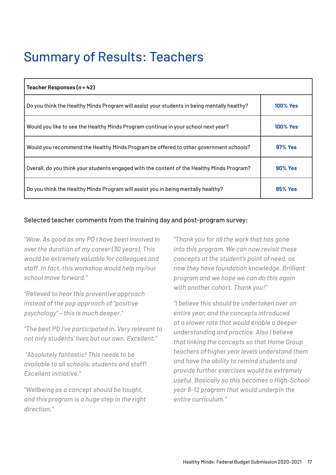### <span id="page-16-0"></span>Summary of Results: Teachers

| Teacher Responses $(n = 42)$                                                                |                 |
|---------------------------------------------------------------------------------------------|-----------------|
| Do you think the Healthy Minds Program will assist your students in being mentally healthy? | <b>100% Yes</b> |
| Would you like to see the Healthy Minds Program continue in your school next year?          | <b>100% Yes</b> |
| Would you recommend the Healthy Minds Program be offered to other government schools?       | <b>97% Yes</b>  |
| Overall, do you think your students engaged with the content of the Healthy Minds Program?  | <b>90% Yes</b>  |
| Do you think the Healthy Minds Program will assist you in being mentally healthy?           | <b>85% Yes</b>  |

#### Selected teacher comments from the training day and post-program survey:

*"Wow. As good as any PD I have been involved in over the duration of my career (30 years). This would be extremely valuable for colleagues and staff. In fact, this workshop would help my/our school move forward."*

*"Relieved to hear this preventive approach instead of the pop approach of "positive psychology" – this is much deeper."*

*"The best PD I've participated in. Very relevant to not only students' lives but our own. Excellent."*

 *"Absolutely fantastic! This needs to be available to all schools, students and staff! Excellent initiative."*

*"Wellbeing as a concept should be taught, and this program is a huge step in the right direction."*

*"Thank you for all the work that has gone into this program. We can now revisit these concepts at the student's point of need, as now they have foundation knowledge. Brilliant program and we hope we can do this again with another cohort. Thank you!"*

*"I believe this should be undertaken over an entire year, and the concepts introduced at a slower rate that would enable a deeper understanding and practice. Also I believe that linking the concepts so that Home Group teachers of higher year levels understand them and have the ability to remind students and provide further exercises would be extremely useful. Basically so this becomes a High-School year 8-12 program that would underpin the entire curriculum."*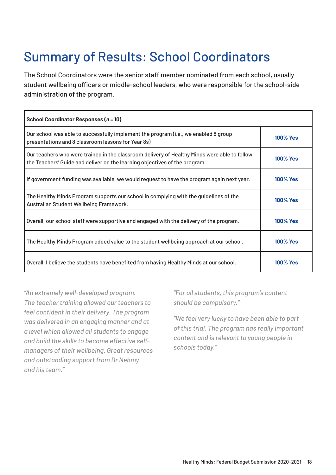# Summary of Results: School Coordinators

The School Coordinators were the senior staff member nominated from each school, usually student wellbeing officers or middle-school leaders, who were responsible for the school-side administration of the program.

| School Coordinator Responses (n = 10)                                                                                                                                      |                 |
|----------------------------------------------------------------------------------------------------------------------------------------------------------------------------|-----------------|
| Our school was able to successfully implement the program (i.e., we enabled 8 group<br>presentations and 8 classroom lessons for Year 8s)                                  | <b>100% Yes</b> |
| Our teachers who were trained in the classroom delivery of Healthy Minds were able to follow<br>the Teachers' Guide and deliver on the learning objectives of the program. | <b>100% Yes</b> |
| If government funding was available, we would request to have the program again next year.                                                                                 | <b>100% Yes</b> |
| The Healthy Minds Program supports our school in complying with the guidelines of the<br>Australian Student Wellbeing Framework.                                           | <b>100% Yes</b> |
| Overall, our school staff were supportive and engaged with the delivery of the program.                                                                                    | <b>100% Yes</b> |
| The Healthy Minds Program added value to the student wellbeing approach at our school.                                                                                     | <b>100% Yes</b> |
| Overall, I believe the students have benefited from having Healthy Minds at our school.                                                                                    | <b>100% Yes</b> |

*"An extremely well-developed program. The teacher training allowed our teachers to feel confident in their delivery. The program was delivered in an engaging manner and at a level which allowed all students to engage and build the skills to become effective selfmanagers of their wellbeing. Great resources and outstanding support from Dr Nehmy and his team."*

*"For all students, this program's content should be compulsory."*

*"We feel very lucky to have been able to part of this trial. The program has really important content and is relevant to young people in schools today."*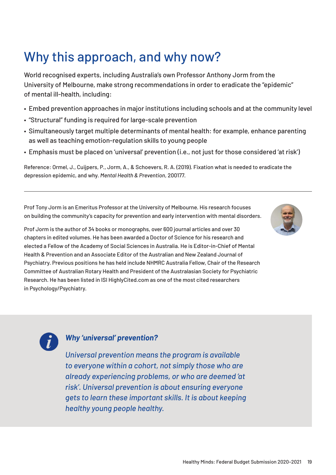# <span id="page-18-0"></span>Why this approach, and why now?

World recognised experts, including Australia's own Professor Anthony Jorm from the University of Melbourne, make strong recommendations in order to eradicate the "epidemic" of mental ill-health, including:

- Embed prevention approaches in major institutions including schools and at the community level
- "Structural" funding is required for large-scale prevention
- Simultaneously target multiple determinants of mental health: for example, enhance parenting as well as teaching emotion-regulation skills to young people
- Emphasis must be placed on 'universal' prevention (i.e., not just for those considered 'at risk')

Reference: Ormel, J., Cuijpers, P., Jorm, A., & Schoevers, R. A. (2019). Fixation what is needed to eradicate the depression epidemic, and why. *Mental Health & Prevention*, 200177.

Prof Tony Jorm is an Emeritus Professor at the University of Melbourne. His research focuses on building the community's capacity for prevention and early intervention with mental disorders.

Prof Jorm is the author of 34 books or monographs, over 600 journal articles and over 30 chapters in edited volumes. He has been awarded a Doctor of Science for his research and elected a Fellow of the Academy of Social Sciences in Australia. He is Editor-in-Chief of Mental Health & Prevention and an Associate Editor of the Australian and New Zealand Journal of Psychiatry. Previous positions he has held include NHMRC Australia Fellow, Chair of the Research Committee of Australian Rotary Health and President of the Australasian Society for Psychiatric Research. He has been listed in ISI HighlyCited.com as one of the most cited researchers in Psychology/Psychiatry.



#### *Why 'universal' prevention?*

*Universal prevention means the program is available to everyone within a cohort, not simply those who are already experiencing problems, or who are deemed 'at risk'. Universal prevention is about ensuring everyone gets to learn these important skills. It is about keeping healthy young people healthy.*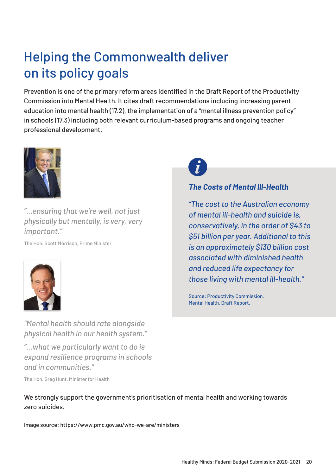# <span id="page-19-0"></span>Helping the Commonwealth deliver on its policy goals

Prevention is one of the primary reform areas identified in the Draft Report of the Productivity Commission into Mental Health. It cites draft recommendations including increasing parent education into mental health (17.2), the implementation of a "mental illness prevention policy" in schools (17.3) including both relevant curriculum-based programs and ongoing teacher professional development.



*"...ensuring that we're well, not just physically but mentally, is very, very important."*

The Hon. Scott Morrison, Prime Minister



*"Mental health should rate alongside physical health in our health system."*

*"…what we particularly want to do is expand resilience programs in schools and in communities."*

The Hon. Greg Hunt, Minister for Health

We strongly support the government's prioritisation of mental health and working towards zero suicides.

Image source: <https://www.pmc.gov.au/who-we-are/ministers>

#### *The Costs of Mental Ill-Health*

*"The cost to the Australian economy of mental ill-health and suicide is, conservatively, in the order of \$43 to \$51 billion per year. Additional to this is an approximately \$130 billion cost associated with diminished health and reduced life expectancy for those living with mental ill-health."*

Source: Productivity Commission, Mental Health, Draft Report.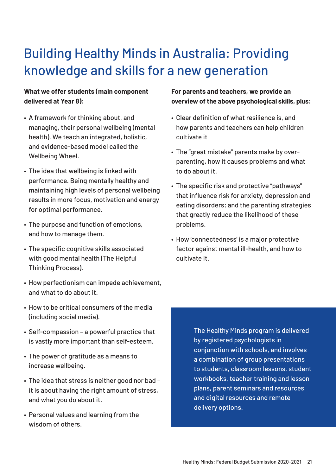# <span id="page-20-0"></span>Building Healthy Minds in Australia: Providing knowledge and skills for a new generation

#### **What we offer students (main component delivered at Year 8):**

- A framework for thinking about, and managing, their personal wellbeing (mental health). We teach an integrated, holistic, and evidence-based model called the Wellbeing Wheel.
- The idea that wellbeing is linked with performance. Being mentally healthy and maintaining high levels of personal wellbeing results in more focus, motivation and energy for optimal performance.
- The purpose and function of emotions, and how to manage them.
- The specific cognitive skills associated with good mental health (The Helpful Thinking Process).
- How perfectionism can impede achievement, and what to do about it.
- How to be critical consumers of the media (including social media).
- Self-compassion a powerful practice that is vastly more important than self-esteem.
- The power of gratitude as a means to increase wellbeing.
- The idea that stress is neither good nor bad it is about having the right amount of stress, and what you do about it.
- Personal values and learning from the wisdom of others.

#### **For parents and teachers, we provide an overview of the above psychological skills, plus:**

- Clear definition of what resilience is, and how parents and teachers can help children cultivate it
- The "great mistake" parents make by overparenting, how it causes problems and what to do about it.
- The specific risk and protective "pathways" that influence risk for anxiety, depression and eating disorders; and the parenting strategies that greatly reduce the likelihood of these problems.
- How 'connectedness' is a major protective factor against mental ill-health, and how to cultivate it.

The Healthy Minds program is delivered by registered psychologists in conjunction with schools, and involves a combination of group presentations to students, classroom lessons, student workbooks, teacher training and lesson plans, parent seminars and resources and digital resources and remote delivery options.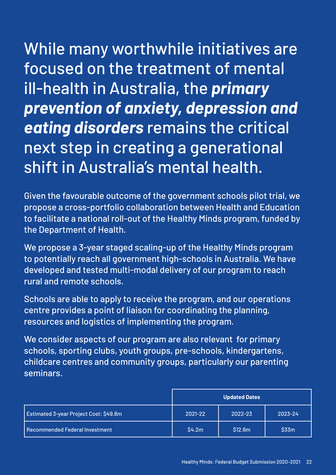<span id="page-21-0"></span>While many worthwhile initiatives are focused on the treatment of mental ill-health in Australia, the *primary prevention of anxiety, depression and eating disorders* remains the critical next step in creating a generational shift in Australia's mental health.

Given the favourable outcome of the government schools pilot trial, we propose a cross-portfolio collaboration between Health and Education to facilitate a national roll-out of the Healthy Minds program, funded by the Department of Health.

We propose a 3-year staged scaling-up of the Healthy Minds program to potentially reach all government high-schools in Australia. We have developed and tested multi-modal delivery of our program to reach rural and remote schools.

Schools are able to apply to receive the program, and our operations centre provides a point of liaison for coordinating the planning, resources and logistics of implementing the program.

We consider aspects of our program are also relevant for primary schools, sporting clubs, youth groups, pre-schools, kindergartens, childcare centres and community groups, particularly our parenting seminars.

|                                        | <b>Updated Dates</b> |         |         |
|----------------------------------------|----------------------|---------|---------|
| Estimated 3-year Project Cost: \$49.8m | 2021-22              | 2022-23 | 2023-24 |
| Recommended Federal Investment         | \$4.2m               | \$12.6m | \$33m   |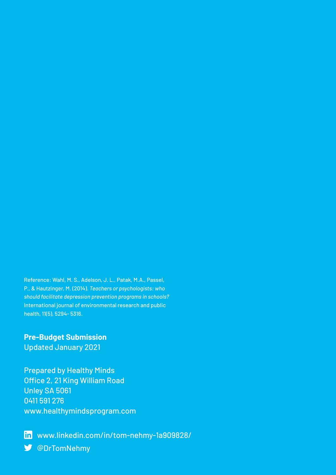Reference: Wahl, M. S., Adelson, J. L., Patak, M.A., Passel, P., & Hautzinger, M. (2014). *Teachers or psychologists: who should facilitate depression prevention programs in schools?* International journal of environmental research and public health, 11(5), 5294- 5316.

**Pre-Budget Submission** Updated January 2021

Prepared by Healthy Minds Office 2, 21 King William Road Unley SA 5061 0411 591 276 [www.healthymindsprogram.com](http://www.healthymindsprogram.com)

in [www.linkedin.com/in/tom-nehmy-1a909828/](http://www.linkedin.com/in/tom-nehmy-1a909828/) [@DrTomNehmy](https://twitter.com/drtomnehmy)